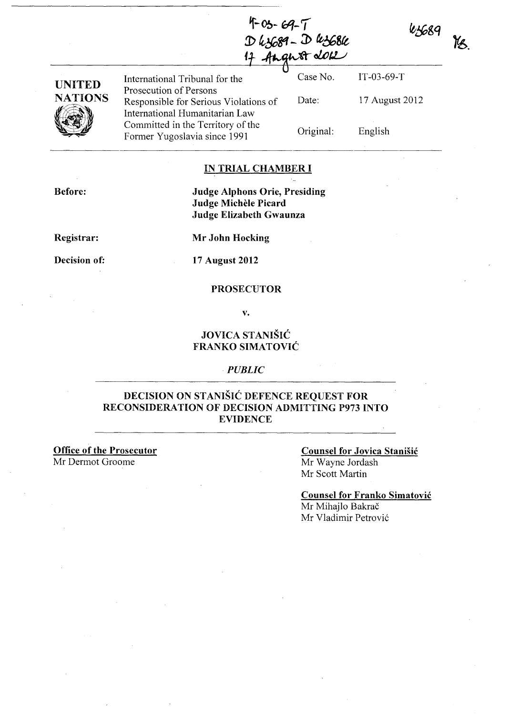125689

 $\mathcal{A}$ 

Ys.

|                     |                                                                         | D 43689 - D 43686<br>17 August 2012 |                |
|---------------------|-------------------------------------------------------------------------|-------------------------------------|----------------|
| <b>UNITED</b>       | International Tribunal for the<br>Prosecution of Persons                | Case No.                            | $IT-03-69-T$   |
| <b>NATIONS</b><br>ß | Responsible for Serious Violations of<br>International Humanitarian Law | Date:                               | 17 August 2012 |
|                     | Committed in the Territory of the<br>Former Yugoslavia since 1991       | Original:                           | English        |

#### IN TRIAL CHAMBER I

 $7 - 69 - 69 - 7$ 

Before:

Judge Alphons Orie, Presiding Judge Michèle Picard Judge Elizabeth Gwaunza

Registrar:

Mr John Hocking

Decision of:

17 August 2012

#### PROSECUTOR

v.

### JOVICA STANISIC FRANKO SIMATOVIC

#### *PUBLIC*

### DECISION ON STANISIC DEFENCE REQUEST FOR RECONSIDERATION OF DECISION ADMITTING P973 INTO EVIDENCE

Office of the Prosecutor Mr Dermot Groome

#### Counsel for Jovica Stanisic Mr Wayne Jordash Mr Scott Martin

Counsel for Franko Simatovic Mr Mihajlo Bakrač Mr Vladimir Petrović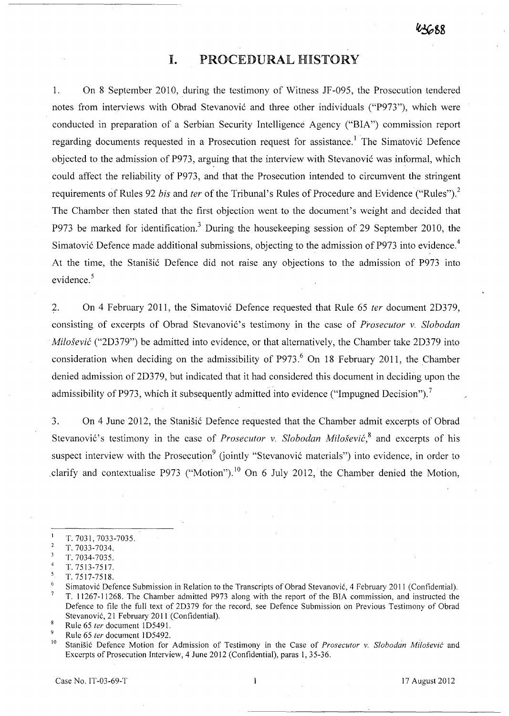## I. PROCEDURAL HISTORY

1. On 8 September 2010, during the testimony of Witness JF -095, the Prosecution tendered notes from interviews with Obrad Stevanović and three other individuals ("P973"), which were conducted in preparation of a Serbian Security Intelligence Agency ("BIA") commission report regarding documents requested in a Prosecution request for assistance.<sup>1</sup> The Simatović Defence objected to the admission of P973, arguing that the interview with Stevanović was informal, which could affect the reliability of P973, and that the Prosecution intended to circumvent the stringent requirements of Rules 92 *bis* and *fer* of the Tribunal's Rules of Procedure and Evidence ("Rules")? The Chamber then stated that the first objection went to the document's weight and decided that P973 be marked for identification.<sup>3</sup> During the housekeeping session of 29 September 2010, the Simatović Defence made additional submissions, objecting to the admission of P973 into evidence.<sup>4</sup> At the time, the Stanišić Defence did not raise any objections to the admission of P973 into evidence. $5$ 

2. On 4 February 2011, the Simatovi6 Defence requested that Rule 65 *fer* document 2D379, consisting of excerpts of Obrad Stevanović's testimony in the case of *Prosecutor v. Slobodan Milosevic* ("2D379") be admitted into evidence, or that alternatively, the Chamber take 2D379 into consideration when deciding on the admissibility of P973.<sup>6</sup> On 18 February 2011, the Chamber denied admission of 2D379, but indicated that it had considered this document in deciding upon the admissibility of P973, which it subsequently admitted into evidence ("Impugned Decision").<sup>7</sup>

3. On 4 June 2012, the Stanisic Defence requested that the Chamber admit excerpts of Obrad Stevanović's testimony in the case of *Prosecutor v. Slobodan Milošević*,<sup>8</sup> and excerpts of his suspect interview with the Prosecution<sup>9</sup> (jointly "Stevanović materials") into evidence, in order to clarify and contextualise P973 ("Motion").<sup>10</sup> On 6 July 2012, the Chamber denied the Motion,

 $\mathbf{I}$ T. 7031, 7033-7035.

 $\overline{2}$ T,7033-7034.

T. 7034-7035.  $\overline{4}$ 

T. 7513-7517.

 $\frac{5}{6}$  T. 7517-7518.

Simatovi6 Defence Submission in Relation to the Transcripts of Obrad Stevanovi6, 4 February 2011 (Confidential).  $\overline{7}$ T. 11267-11268. The Chamber admitted P973 along with the report of the BIA commission, and instructed the Defence to file the full text of 20379 for the record, see Defence Submission on Previous Testimony of Obrad Stevanović, 21 February 2011 (Confidential).

<sup>8</sup> Rule 65 *fer* document 105491. 9

Rule 65 *fer* document 105492.

<sup>&</sup>lt;sup>10</sup> Stanišić Defence Motion for Admission of Testimony in the Case of *Prosecutor v. Slobodan Milošević* and Excerpts of Prosecution Interview, 4 June 2012 (Confidential), paras 1,35-36.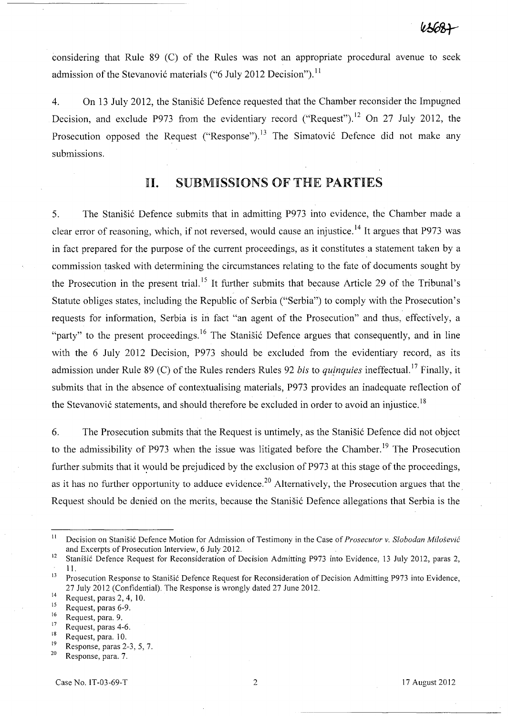considering that Rule 89 (C) of the Rules was not an appropriate procedural avenue to seek admission of the Stevanović materials ("6 July 2012 Decision").<sup>11</sup>

4. On 13 July 2012, the Stanisic Defence requested that the Chamber reconsider the Impugned Decision, and exclude P973 from the evidentiary record ("Request").<sup>12</sup> On 27 July 2012, the Prosecution opposed the Request ("Response").<sup>13</sup> The Simatović Defence did not make any submissions.

# 11. SUBMISSIONS OF THE PARTIES

5. The Stanišić Defence submits that in admitting P973 into evidence, the Chamber made a clear error of reasoning, which, if not reversed, would cause an injustice.<sup>14</sup> It argues that P973 was in fact prepared for the purpose of the current proceedings, as it constitutes a statement taken by a commission tasked with determining the circumstances relating to the fate of documents sought by the Prosecution in the present trial.<sup>15</sup> It further submits that because Article 29 of the Tribunal's Statute obliges states, including the Republic of Serbia ("Serbia") to comply with the Prosecution's requests for information, Serbia is in fact "an agent of the Prosecution" and thus, effectively, a "party" to the present proceedings.<sup>16</sup> The Stanisić Defence argues that consequently, and in line with the 6 July 2012 Decision, P973 should be excluded from the evidentiary record, as its admission under Rule 89 (C) of the Rules renders Rules 92 *bis* to *qujnquies* ineffectual. 17 Finally, it submits that in the absence of contextualising materials, P973 provides an inadequate reflection of the Stevanović statements, and should therefore be excluded in order to avoid an injustice.<sup>18</sup>

6. The Prosecution submits that the Request is untimely, as the Stanisic Defence did not object to the admissibility of P973 when the issue was litigated before the Chamber.<sup>19</sup> The Prosecution further submits that it would be prejudiced by the exclusion of P973 at this stage of the proceedings, as it has no further opportunity to adduce evidence.<sup>20</sup> Alternatively, the Prosecution argues that the. Request should be denied on the merits, because the Stanistic Defence allegations that Serbia is the

 $^{18}$  Request, para. 10.<br><sup>19</sup> Response paras 2.

<sup>&</sup>lt;sup>11</sup> Decision on Stanišić Defence Motion for Admission of Testimony in the Case of *Prosecutor v. Slobodan Milošević* and Excerpts of Prosecution Interview, 6 July 2012.

<sup>&</sup>lt;sup>12</sup> Stanišić Defence Request for Reconsideration of Decision Admitting P973 into Evidence, 13 July 2012, paras 2, 11.

<sup>&</sup>lt;sup>13</sup> Prosecution Response to Stanišić Defence Request for Reconsideration of Decision Admitting P973 into Evidence, 27 July 2012 (Confidential). The Response is wrongly dated 27 June 2012.

 $^{14}$  Request, paras 2, 4, 10.

 $^{15}$  Request, paras 6-9.

 $\frac{16}{17}$  Request, para. 9.

 $^{17}$  Request, paras 4-6.

 $19$  Response, paras 2-3, 5, 7. Response, para. 7.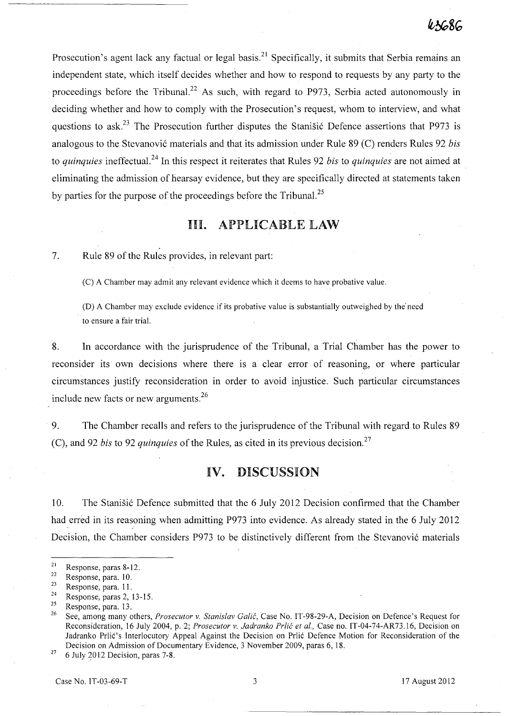Prosecution's agent lack any factual or legal basis.<sup>21</sup> Specifically, it submits that Serbia remains an independent state, which itself decides whether and how to respond to requests by any party to the proceedings before the Tribunal.<sup>22</sup> As such, with regard to P973, Serbia acted autonomously in deciding whether and how to comply with the Prosecution's request, whom to interview, and what questions to ask.<sup>23</sup> The Prosecution further disputes the Stanisic Defence assertions that P973 is analogous to the Stevanović materials and that its admission under Rule 89 (C) renders Rules 92 *bis* to *quinquies* ineffectua1. 24 In this respect it reiterates that Rules 92 *bis* to *quinquies* are not aimed at eliminating the admission of hearsay evidence, but they are specifically directed at statements taken by parties for the purpose of the proceedings before the Tribunal.<sup>25</sup>

## Ill. APPLICABLE LAW

7. Rule 89 of the Rules provides, in relevant part:

(C) A Chamber may admit any relevant evidence which it deems to have probative value.

(D) A Chamber may exclude evidence if its probative value is substantially outweighed by the' need to ensure a fair trial.

8. In accordance with the jurisprudence of the Tribunal, a Trial Chamber has the power to reconsider its own decisions where there is a clear error of reasoning, or where particular circumstances justify reconsideration in order to avoid injustice, Such particular circumstances include new facts or new arguments. <sup>26</sup>

9. The Chamber recalls and refers to the jurisprudence of the Tribunal with regard to Rules 89 (C), and 92 *bis* to 92 *quinquies* of the Rules, as cited in its previous decision.<sup>27</sup>

### **IV.** DISCUSSION

10. The Stanisic Defence submitted that the 6 July 2012 Decision confirmed that the Chamber had erred in its reasoning when admitting P973 into evidence. As already stated in the 6 July 2012 Decision, the Chamber considers P973 to be distinctively different from the Stevanović materials

 $27$  6 July 2012 Decision, paras 7-8.

 $\frac{21}{22}$  Response, paras 8-12.

 $\frac{22}{23}$  Response, para. 10.

 $\frac{23}{24}$  Response, para. 11.

<sup>&</sup>lt;sup>24</sup> Response, paras 2, 13-15.<br><sup>25</sup> Personse name <sup>12</sup>

 $\frac{25}{26}$  Response, para. 13.

<sup>26</sup> See, among many others, *Prosecutor* v. *Stanislav Galie,* Case No. IT-9S-29-A, Decision on Defence's Request for Reconsideration, 16 July 2004, p. 2; *Prosecutor v. Jadranko Prlić et al.*, Case no. IT-04-74-AR73.16, Decision on Jadranko Prlic's Interlocutory Appeal Against the Decision on Prlic Defence Motion for Reconsideration of the Decision on Admission of Documentary Evidence, 3 November 2009, paras 6, IS.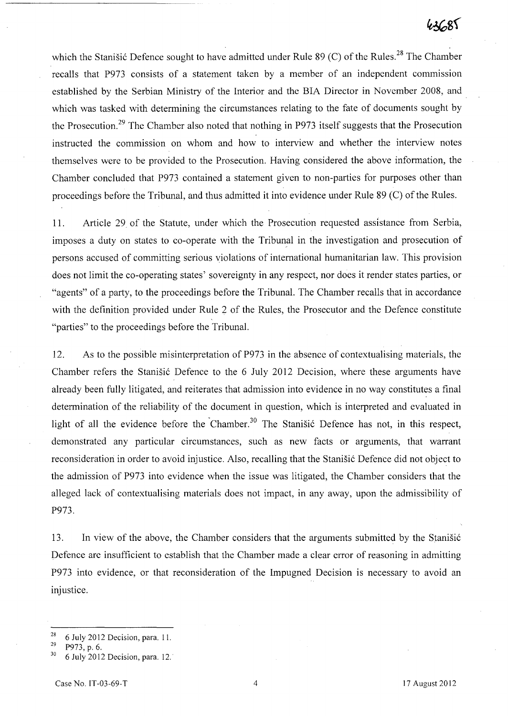which the Stanisić Defence sought to have admitted under Rule 89 (C) of the Rules.<sup>28</sup> The Chamber recalls that P973 consists of a statement taken by a member of an independent commission established by the Serbian Ministry of the Interior and the BIA Director in November 2008, and which was tasked with determining the circumstances relating to the fate of documents sought by the Prosecution.<sup>29</sup> The Chamber also noted that nothing in P973 itself suggests that the Prosecution instructed the commission on whom and how to interview and whether the interview notes themselves were to be provided to the Prosecution. Having considered the above information, the Chamber concluded that P973 contained a statement given to non-parties for purposes other than proceedings before the Tribunal, and thus admitted it into evidence under Rule 89 CC) of the Rules.

11. Article 29 of the Statute, under which the Prosecution requested assistance from Serbia, imposes a duty on states to co-operate with the Tribunal in the investigation and prosecution of persons accused of committing serious violations of international humanitarian law. This provision does not limit the co-operating states' sovereignty in any respect, nor does it render states parties, or "agents" of a party, to the proceedings before the Tribunal. The Chamber recalls that in accordance with the definition provided under Rule 2 of the Rules, the Prosecutor and the Defence constitute "parties" to the proceedings before the Tribunal.

12. As to the possible misinterpretation of P973 in the absence of contextualising materials, the Chamber refers the Stanišić Defence to the 6 July 2012 Decision, where these arguments have already been fully litigated, and reiterates that admission into evidence in no way constitutes a final determination of the reliability of the document in question, which is interpreted and evaluated in light of all the evidence before the Chamber.<sup>30</sup> The Stanisic Defence has not, in this respect, demonstrated any particular circumstances, such as new facts or arguments, that warrant reconsideration in order to avoid injustice. Also, recalling that the Stanisic Defence did not object to the admission of P973 into evidence when the issue was litigated, the Chamber considers that the alleged lack of contextualising materials does not impact, in any away, upon the admissibility of P973.

13. In view of the above, the Chamber considers that the arguments submitted by the Stanisić Defence are insufficient to establish that the Chamber made a clear error of reasoning in admitting P973 into evidence, or that reconsideration of the Impugned Decision is necessary to avoid an injustice.

 $^{28}$  6 July 2012 Decision, para. 11.

<sup>29</sup>P973, p. 6.

<sup>30 6</sup> July 2012 Decision, para. 12.